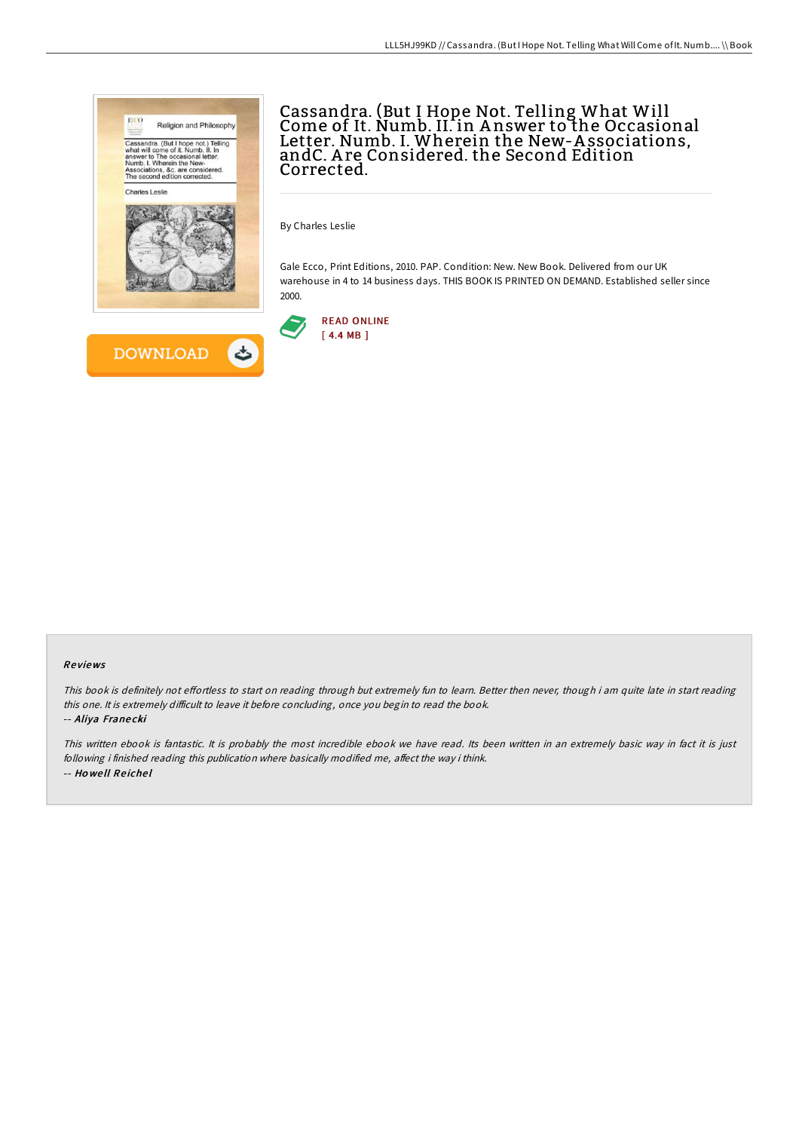

Cassandra. (But I Hope Not. Telling What Will Come of It. Numb. II. in A nswer to the Occasional Letter. Numb. I. Wherein the New-A ssociations, andC. A re Considered. the Second Edition Corrected.

By Charles Leslie

Gale Ecco, Print Editions, 2010. PAP. Condition: New. New Book. Delivered from our UK warehouse in 4 to 14 business days. THIS BOOK IS PRINTED ON DEMAND. Established seller since 2000.



#### Re views

This book is definitely not effortless to start on reading through but extremely fun to learn. Better then never, though i am quite late in start reading this one. It is extremely difficult to leave it before concluding, once you begin to read the book. -- Aliya Franecki

This written ebook is fantastic. It is probably the most incredible ebook we have read. Its been written in an extremely basic way in fact it is just following i finished reading this publication where basically modified me, affect the way i think. -- Ho we ll Re iche l